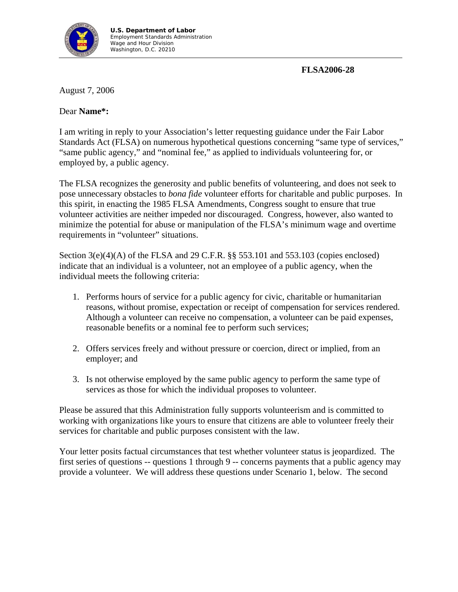

**FLSA2006-28** 

August 7, 2006

## Dear **Name\*:**

I am writing in reply to your Association's letter requesting guidance under the Fair Labor Standards Act (FLSA) on numerous hypothetical questions concerning "same type of services," "same public agency," and "nominal fee," as applied to individuals volunteering for, or employed by, a public agency.

The FLSA recognizes the generosity and public benefits of volunteering, and does not seek to pose unnecessary obstacles to *bona fide* volunteer efforts for charitable and public purposes. In this spirit, in enacting the 1985 FLSA Amendments, Congress sought to ensure that true volunteer activities are neither impeded nor discouraged. Congress, however, also wanted to minimize the potential for abuse or manipulation of the FLSA's minimum wage and overtime requirements in "volunteer" situations.

Section  $3(e)(4)(A)$  of the FLSA and 29 C.F.R. §§ 553.101 and 553.103 (copies enclosed) indicate that an individual is a volunteer, not an employee of a public agency, when the individual meets the following criteria:

- 1. Performs hours of service for a public agency for civic, charitable or humanitarian reasons, without promise, expectation or receipt of compensation for services rendered. Although a volunteer can receive no compensation, a volunteer can be paid expenses, reasonable benefits or a nominal fee to perform such services;
- 2. Offers services freely and without pressure or coercion, direct or implied, from an employer; and
- 3. Is not otherwise employed by the same public agency to perform the same type of services as those for which the individual proposes to volunteer.

Please be assured that this Administration fully supports volunteerism and is committed to working with organizations like yours to ensure that citizens are able to volunteer freely their services for charitable and public purposes consistent with the law.

Your letter posits factual circumstances that test whether volunteer status is jeopardized. The first series of questions -- questions 1 through 9 -- concerns payments that a public agency may provide a volunteer. We will address these questions under Scenario 1, below. The second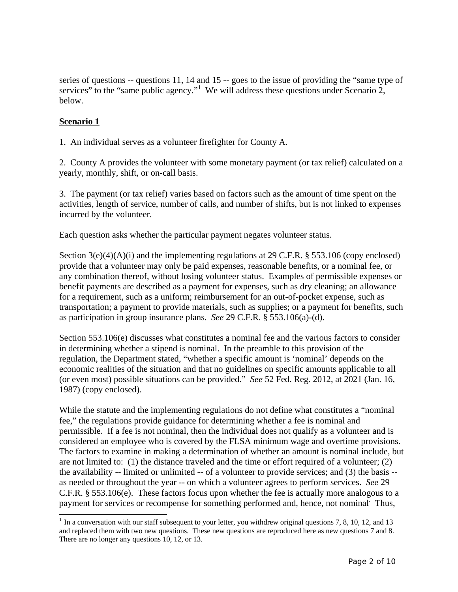series of questions -- questions 11, 14 and 15 -- goes to the issue of providing the "same type of services" to the "same public agency."<sup>[1](#page-1-0)</sup> We will address these questions under Scenario 2, below.

## **Scenario 1**

 $\overline{a}$ 

1. An individual serves as a volunteer firefighter for County A.

2. County A provides the volunteer with some monetary payment (or tax relief) calculated on a yearly, monthly, shift, or on-call basis.

3. The payment (or tax relief) varies based on factors such as the amount of time spent on the activities, length of service, number of calls, and number of shifts, but is not linked to expenses incurred by the volunteer.

Each question asks whether the particular payment negates volunteer status.

Section  $3(e)(4)(A)(i)$  and the implementing regulations at 29 C.F.R. § 553.106 (copy enclosed) provide that a volunteer may only be paid expenses, reasonable benefits, or a nominal fee, or any combination thereof, without losing volunteer status. Examples of permissible expenses or benefit payments are described as a payment for expenses, such as dry cleaning; an allowance for a requirement, such as a uniform; reimbursement for an out-of-pocket expense, such as transportation; a payment to provide materials, such as supplies; or a payment for benefits, such as participation in group insurance plans. *See* 29 C.F.R. § 553.106(a)-(d).

Section 553.106(e) discusses what constitutes a nominal fee and the various factors to consider in determining whether a stipend is nominal. In the preamble to this provision of the regulation, the Department stated, "whether a specific amount is 'nominal' depends on the economic realities of the situation and that no guidelines on specific amounts applicable to all (or even most) possible situations can be provided." *See* 52 Fed. Reg. 2012, at 2021 (Jan. 16, 1987) (copy enclosed).

While the statute and the implementing regulations do not define what constitutes a "nominal fee," the regulations provide guidance for determining whether a fee is nominal and permissible. If a fee is not nominal, then the individual does not qualify as a volunteer and is considered an employee who is covered by the FLSA minimum wage and overtime provisions. The factors to examine in making a determination of whether an amount is nominal include, but are not limited to: (1) the distance traveled and the time or effort required of a volunteer; (2) the availability -- limited or unlimited -- of a volunteer to provide services; and (3) the basis - as needed or throughout the year -- on which a volunteer agrees to perform services. *See* 29 C.F.R. § 553.106(e). These factors focus upon whether the fee is actually more analogous to a payment for services or recompense for something performed and, hence, not nominal Thus,

<span id="page-1-0"></span> $1$  In a conversation with our staff subsequent to your letter, you withdrew original questions 7, 8, 10, 12, and 13 and replaced them with two new questions. These new questions are reproduced here as new questions 7 and 8. There are no longer any questions 10, 12, or 13.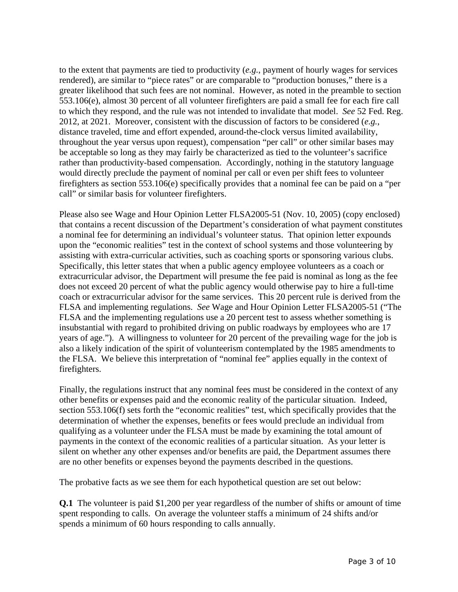to the extent that payments are tied to productivity (*e.g.*, payment of hourly wages for services rendered), are similar to "piece rates" or are comparable to "production bonuses," there is a greater likelihood that such fees are not nominal. However, as noted in the preamble to section 553.106(e), almost 30 percent of all volunteer firefighters are paid a small fee for each fire call to which they respond, and the rule was not intended to invalidate that model. *See* 52 Fed. Reg. 2012, at 2021. Moreover, consistent with the discussion of factors to be considered (*e.g.*, distance traveled, time and effort expended, around-the-clock versus limited availability, throughout the year versus upon request), compensation "per call" or other similar bases may be acceptable so long as they may fairly be characterized as tied to the volunteer's sacrifice rather than productivity-based compensation. Accordingly, nothing in the statutory language would directly preclude the payment of nominal per call or even per shift fees to volunteer firefighters as section 553.106(e) specifically provides that a nominal fee can be paid on a "per call" or similar basis for volunteer firefighters.

Please also see Wage and Hour Opinion Letter FLSA2005-51 (Nov. 10, 2005) (copy enclosed) that contains a recent discussion of the Department's consideration of what payment constitutes a nominal fee for determining an individual's volunteer status. That opinion letter expounds upon the "economic realities" test in the context of school systems and those volunteering by assisting with extra-curricular activities, such as coaching sports or sponsoring various clubs. Specifically, this letter states that when a public agency employee volunteers as a coach or extracurricular advisor, the Department will presume the fee paid is nominal as long as the fee does not exceed 20 percent of what the public agency would otherwise pay to hire a full-time coach or extracurricular advisor for the same services. This 20 percent rule is derived from the FLSA and implementing regulations. *See* Wage and Hour Opinion Letter FLSA2005-51 ("The FLSA and the implementing regulations use a 20 percent test to assess whether something is insubstantial with regard to prohibited driving on public roadways by employees who are 17 years of age."). A willingness to volunteer for 20 percent of the prevailing wage for the job is also a likely indication of the spirit of volunteerism contemplated by the 1985 amendments to the FLSA. We believe this interpretation of "nominal fee" applies equally in the context of firefighters.

Finally, the regulations instruct that any nominal fees must be considered in the context of any other benefits or expenses paid and the economic reality of the particular situation. Indeed, section 553.106(f) sets forth the "economic realities" test, which specifically provides that the determination of whether the expenses, benefits or fees would preclude an individual from qualifying as a volunteer under the FLSA must be made by examining the total amount of payments in the context of the economic realities of a particular situation. As your letter is silent on whether any other expenses and/or benefits are paid, the Department assumes there are no other benefits or expenses beyond the payments described in the questions.

The probative facts as we see them for each hypothetical question are set out below:

**Q.1** The volunteer is paid \$1,200 per year regardless of the number of shifts or amount of time spent responding to calls. On average the volunteer staffs a minimum of 24 shifts and/or spends a minimum of 60 hours responding to calls annually.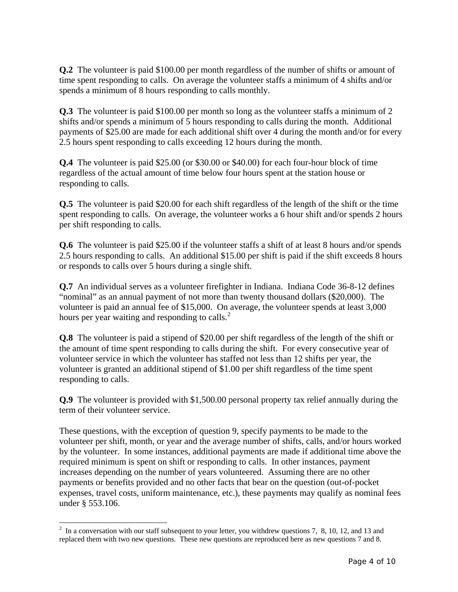**Q.2** The volunteer is paid \$100.00 per month regardless of the number of shifts or amount of time spent responding to calls. On average the volunteer staffs a minimum of 4 shifts and/or spends a minimum of 8 hours responding to calls monthly.

**Q.3** The volunteer is paid \$100.00 per month so long as the volunteer staffs a minimum of 2 shifts and/or spends a minimum of 5 hours responding to calls during the month. Additional payments of \$25.00 are made for each additional shift over 4 during the month and/or for every 2.5 hours spent responding to calls exceeding 12 hours during the month.

**Q.4** The volunteer is paid \$25.00 (or \$30.00 or \$40.00) for each four-hour block of time regardless of the actual amount of time below four hours spent at the station house or responding to calls.

**Q.5** The volunteer is paid \$20.00 for each shift regardless of the length of the shift or the time spent responding to calls. On average, the volunteer works a 6 hour shift and/or spends 2 hours per shift responding to calls.

**Q.6** The volunteer is paid \$25.00 if the volunteer staffs a shift of at least 8 hours and/or spends 2.5 hours responding to calls. An additional \$15.00 per shift is paid if the shift exceeds 8 hours or responds to calls over 5 hours during a single shift.

**Q.7** An individual serves as a volunteer firefighter in Indiana. Indiana Code 36-8-12 defines "nominal" as an annual payment of not more than twenty thousand dollars (\$20,000). The volunteer is paid an annual fee of \$15,000. On average, the volunteer spends at least 3,000 hours per year waiting and responding to calls. $^{2}$  $^{2}$  $^{2}$ 

**Q.8** The volunteer is paid a stipend of \$20.00 per shift regardless of the length of the shift or the amount of time spent responding to calls during the shift. For every consecutive year of volunteer service in which the volunteer has staffed not less than 12 shifts per year, the volunteer is granted an additional stipend of \$1.00 per shift regardless of the time spent responding to calls.

**Q.9** The volunteer is provided with \$1,500.00 personal property tax relief annually during the term of their volunteer service.

These questions, with the exception of question 9, specify payments to be made to the volunteer per shift, month, or year and the average number of shifts, calls, and/or hours worked by the volunteer. In some instances, additional payments are made if additional time above the required minimum is spent on shift or responding to calls. In other instances, payment increases depending on the number of years volunteered. Assuming there are no other payments or benefits provided and no other facts that bear on the question (out-of-pocket expenses, travel costs, uniform maintenance, etc.), these payments may qualify as nominal fees under § 553.106.

<span id="page-3-0"></span><sup>&</sup>lt;sup>2</sup> In a conversation with our staff subsequent to your letter, you withdrew questions 7, 8, 10, 12, and 13 and replaced them with two new questions. These new questions are reproduced here as new questions 7 and 8.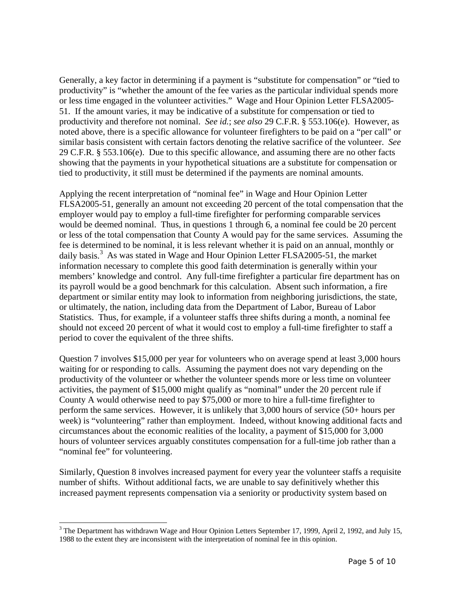Generally, a key factor in determining if a payment is "substitute for compensation" or "tied to productivity" is "whether the amount of the fee varies as the particular individual spends more or less time engaged in the volunteer activities." Wage and Hour Opinion Letter FLSA2005- 51. If the amount varies, it may be indicative of a substitute for compensation or tied to productivity and therefore not nominal. *See id.*; *see also* 29 C.F.R. § 553.106(e). However, as noted above, there is a specific allowance for volunteer firefighters to be paid on a "per call" or similar basis consistent with certain factors denoting the relative sacrifice of the volunteer. *See* 29 C.F.R. § 553.106(e). Due to this specific allowance, and assuming there are no other facts showing that the payments in your hypothetical situations are a substitute for compensation or tied to productivity, it still must be determined if the payments are nominal amounts.

Applying the recent interpretation of "nominal fee" in Wage and Hour Opinion Letter FLSA2005-51, generally an amount not exceeding 20 percent of the total compensation that the employer would pay to employ a full-time firefighter for performing comparable services would be deemed nominal. Thus, in questions 1 through 6, a nominal fee could be 20 percent or less of the total compensation that County A would pay for the same services. Assuming the fee is determined to be nominal, it is less relevant whether it is paid on an annual, monthly or daily basis.<sup>[3](#page-4-0)</sup> As was stated in Wage and Hour Opinion Letter FLSA2005-51, the market information necessary to complete this good faith determination is generally within your members' knowledge and control. Any full-time firefighter a particular fire department has on its payroll would be a good benchmark for this calculation. Absent such information, a fire department or similar entity may look to information from neighboring jurisdictions, the state, or ultimately, the nation, including data from the Department of Labor, Bureau of Labor Statistics. Thus, for example, if a volunteer staffs three shifts during a month, a nominal fee should not exceed 20 percent of what it would cost to employ a full-time firefighter to staff a period to cover the equivalent of the three shifts.

Question 7 involves \$15,000 per year for volunteers who on average spend at least 3,000 hours waiting for or responding to calls. Assuming the payment does not vary depending on the productivity of the volunteer or whether the volunteer spends more or less time on volunteer activities, the payment of \$15,000 might qualify as "nominal" under the 20 percent rule if County A would otherwise need to pay \$75,000 or more to hire a full-time firefighter to perform the same services. However, it is unlikely that 3,000 hours of service (50+ hours per week) is "volunteering" rather than employment. Indeed, without knowing additional facts and circumstances about the economic realities of the locality, a payment of \$15,000 for 3,000 hours of volunteer services arguably constitutes compensation for a full-time job rather than a "nominal fee" for volunteering.

Similarly, Question 8 involves increased payment for every year the volunteer staffs a requisite number of shifts. Without additional facts, we are unable to say definitively whether this increased payment represents compensation via a seniority or productivity system based on

 $\overline{a}$ 

<span id="page-4-0"></span><sup>&</sup>lt;sup>3</sup> The Department has withdrawn Wage and Hour Opinion Letters September 17, 1999, April 2, 1992, and July 15, 1988 to the extent they are inconsistent with the interpretation of nominal fee in this opinion.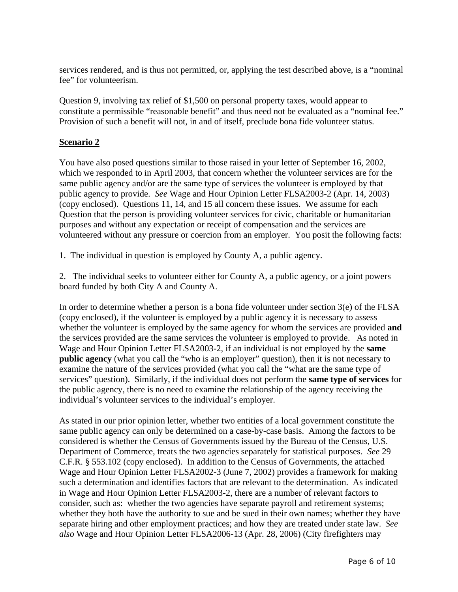services rendered, and is thus not permitted, or, applying the test described above, is a "nominal fee" for volunteerism.

Question 9, involving tax relief of \$1,500 on personal property taxes, would appear to constitute a permissible "reasonable benefit" and thus need not be evaluated as a "nominal fee." Provision of such a benefit will not, in and of itself, preclude bona fide volunteer status.

## **Scenario 2**

You have also posed questions similar to those raised in your letter of September 16, 2002, which we responded to in April 2003, that concern whether the volunteer services are for the same public agency and/or are the same type of services the volunteer is employed by that public agency to provide. *See* Wage and Hour Opinion Letter FLSA2003-2 (Apr. 14, 2003) (copy enclosed). Questions 11, 14, and 15 all concern these issues. We assume for each Question that the person is providing volunteer services for civic, charitable or humanitarian purposes and without any expectation or receipt of compensation and the services are volunteered without any pressure or coercion from an employer. You posit the following facts:

1. The individual in question is employed by County A, a public agency.

2. The individual seeks to volunteer either for County A, a public agency, or a joint powers board funded by both City A and County A.

In order to determine whether a person is a bona fide volunteer under section  $3(e)$  of the FLSA (copy enclosed), if the volunteer is employed by a public agency it is necessary to assess whether the volunteer is employed by the same agency for whom the services are provided **and** the services provided are the same services the volunteer is employed to provide. As noted in Wage and Hour Opinion Letter FLSA2003-2, if an individual is not employed by the **same public agency** (what you call the "who is an employer" question), then it is not necessary to examine the nature of the services provided (what you call the "what are the same type of services" question). Similarly, if the individual does not perform the **same type of services** for the public agency, there is no need to examine the relationship of the agency receiving the individual's volunteer services to the individual's employer.

As stated in our prior opinion letter, whether two entities of a local government constitute the same public agency can only be determined on a case-by-case basis. Among the factors to be considered is whether the Census of Governments issued by the Bureau of the Census, U.S. Department of Commerce, treats the two agencies separately for statistical purposes. *See* 29 C.F.R. § 553.102 (copy enclosed). In addition to the Census of Governments, the attached Wage and Hour Opinion Letter FLSA2002-3 (June 7, 2002) provides a framework for making such a determination and identifies factors that are relevant to the determination. As indicated in Wage and Hour Opinion Letter FLSA2003-2, there are a number of relevant factors to consider, such as: whether the two agencies have separate payroll and retirement systems; whether they both have the authority to sue and be sued in their own names; whether they have separate hiring and other employment practices; and how they are treated under state law. *See also* Wage and Hour Opinion Letter FLSA2006-13 (Apr. 28, 2006) (City firefighters may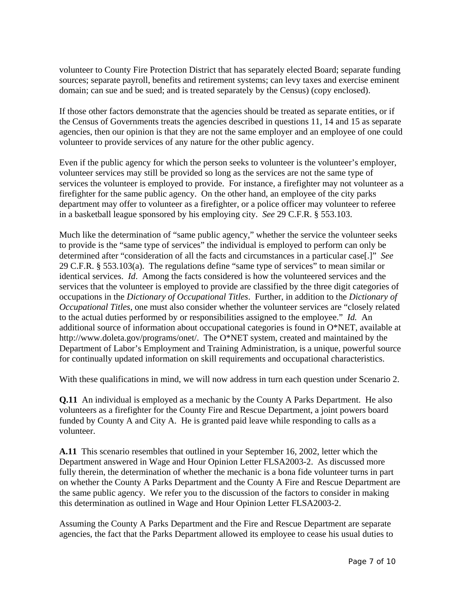volunteer to County Fire Protection District that has separately elected Board; separate funding sources; separate payroll, benefits and retirement systems; can levy taxes and exercise eminent domain; can sue and be sued; and is treated separately by the Census) (copy enclosed).

If those other factors demonstrate that the agencies should be treated as separate entities, or if the Census of Governments treats the agencies described in questions 11, 14 and 15 as separate agencies, then our opinion is that they are not the same employer and an employee of one could volunteer to provide services of any nature for the other public agency.

Even if the public agency for which the person seeks to volunteer is the volunteer's employer, volunteer services may still be provided so long as the services are not the same type of services the volunteer is employed to provide. For instance, a firefighter may not volunteer as a firefighter for the same public agency. On the other hand, an employee of the city parks department may offer to volunteer as a firefighter, or a police officer may volunteer to referee in a basketball league sponsored by his employing city. *See* 29 C.F.R. § 553.103.

Much like the determination of "same public agency," whether the service the volunteer seeks to provide is the "same type of services" the individual is employed to perform can only be determined after "consideration of all the facts and circumstances in a particular case[.]" *See* 29 C.F.R. § 553.103(a). The regulations define "same type of services" to mean similar or identical services. *Id*. Among the facts considered is how the volunteered services and the services that the volunteer is employed to provide are classified by the three digit categories of occupations in the *Dictionary of Occupational Titles*. Further, in addition to the *Dictionary of Occupational Titles*, one must also consider whether the volunteer services are "closely related to the actual duties performed by or responsibilities assigned to the employee." *Id.* An additional source of information about occupational categories is found in O\*NET, available at http://www.doleta.gov/programs/onet/. The O\*NET system, created and maintained by the Department of Labor's Employment and Training Administration, is a unique, powerful source for continually updated information on skill requirements and occupational characteristics.

With these qualifications in mind, we will now address in turn each question under Scenario 2.

**Q.11** An individual is employed as a mechanic by the County A Parks Department. He also volunteers as a firefighter for the County Fire and Rescue Department, a joint powers board funded by County A and City A. He is granted paid leave while responding to calls as a volunteer.

**A.11** This scenario resembles that outlined in your September 16, 2002, letter which the Department answered in Wage and Hour Opinion Letter FLSA2003-2. As discussed more fully therein, the determination of whether the mechanic is a bona fide volunteer turns in part on whether the County A Parks Department and the County A Fire and Rescue Department are the same public agency. We refer you to the discussion of the factors to consider in making this determination as outlined in Wage and Hour Opinion Letter FLSA2003-2.

Assuming the County A Parks Department and the Fire and Rescue Department are separate agencies, the fact that the Parks Department allowed its employee to cease his usual duties to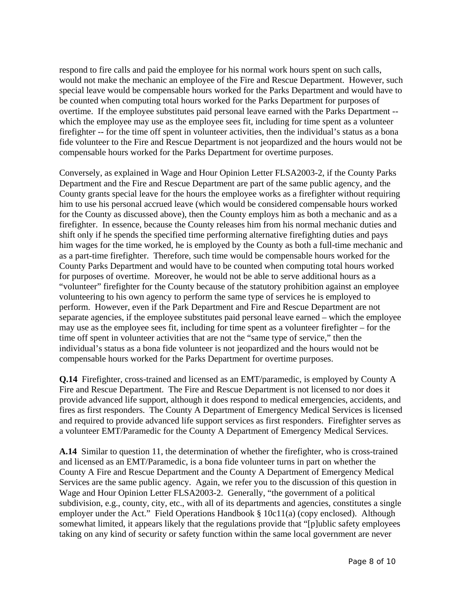respond to fire calls and paid the employee for his normal work hours spent on such calls, would not make the mechanic an employee of the Fire and Rescue Department. However, such special leave would be compensable hours worked for the Parks Department and would have to be counted when computing total hours worked for the Parks Department for purposes of overtime. If the employee substitutes paid personal leave earned with the Parks Department - which the employee may use as the employee sees fit, including for time spent as a volunteer firefighter -- for the time off spent in volunteer activities, then the individual's status as a bona fide volunteer to the Fire and Rescue Department is not jeopardized and the hours would not be compensable hours worked for the Parks Department for overtime purposes.

Conversely, as explained in Wage and Hour Opinion Letter FLSA2003-2, if the County Parks Department and the Fire and Rescue Department are part of the same public agency, and the County grants special leave for the hours the employee works as a firefighter without requiring him to use his personal accrued leave (which would be considered compensable hours worked for the County as discussed above), then the County employs him as both a mechanic and as a firefighter. In essence, because the County releases him from his normal mechanic duties and shift only if he spends the specified time performing alternative firefighting duties and pays him wages for the time worked, he is employed by the County as both a full-time mechanic and as a part-time firefighter. Therefore, such time would be compensable hours worked for the County Parks Department and would have to be counted when computing total hours worked for purposes of overtime. Moreover, he would not be able to serve additional hours as a "volunteer" firefighter for the County because of the statutory prohibition against an employee volunteering to his own agency to perform the same type of services he is employed to perform. However, even if the Park Department and Fire and Rescue Department are not separate agencies, if the employee substitutes paid personal leave earned – which the employee may use as the employee sees fit, including for time spent as a volunteer firefighter – for the time off spent in volunteer activities that are not the "same type of service," then the individual's status as a bona fide volunteer is not jeopardized and the hours would not be compensable hours worked for the Parks Department for overtime purposes.

**Q.14** Firefighter, cross-trained and licensed as an EMT/paramedic, is employed by County A Fire and Rescue Department. The Fire and Rescue Department is not licensed to nor does it provide advanced life support, although it does respond to medical emergencies, accidents, and fires as first responders. The County A Department of Emergency Medical Services is licensed and required to provide advanced life support services as first responders. Firefighter serves as a volunteer EMT/Paramedic for the County A Department of Emergency Medical Services.

**A.14** Similar to question 11, the determination of whether the firefighter, who is cross-trained and licensed as an EMT/Paramedic, is a bona fide volunteer turns in part on whether the County A Fire and Rescue Department and the County A Department of Emergency Medical Services are the same public agency. Again, we refer you to the discussion of this question in Wage and Hour Opinion Letter FLSA2003-2. Generally, "the government of a political subdivision, e.g., county, city, etc., with all of its departments and agencies, constitutes a single employer under the Act." Field Operations Handbook § 10c11(a) (copy enclosed). Although somewhat limited, it appears likely that the regulations provide that "[p]ublic safety employees taking on any kind of security or safety function within the same local government are never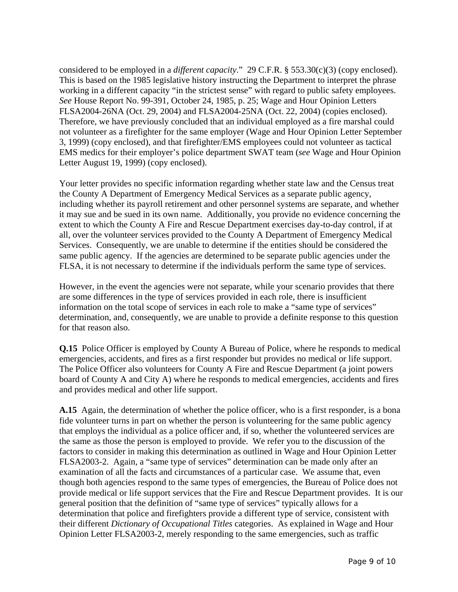considered to be employed in a *different capacity*." 29 C.F.R. § 553.30(c)(3) (copy enclosed). This is based on the 1985 legislative history instructing the Department to interpret the phrase working in a different capacity "in the strictest sense" with regard to public safety employees. *See* House Report No. 99-391, October 24, 1985, p. 25; Wage and Hour Opinion Letters FLSA2004-26NA (Oct. 29, 2004) and FLSA2004-25NA (Oct. 22, 2004) (copies enclosed). Therefore, we have previously concluded that an individual employed as a fire marshal could not volunteer as a firefighter for the same employer (Wage and Hour Opinion Letter September 3, 1999) (copy enclosed), and that firefighter/EMS employees could not volunteer as tactical EMS medics for their employer's police department SWAT team (*see* Wage and Hour Opinion Letter August 19, 1999) (copy enclosed).

Your letter provides no specific information regarding whether state law and the Census treat the County A Department of Emergency Medical Services as a separate public agency, including whether its payroll retirement and other personnel systems are separate, and whether it may sue and be sued in its own name. Additionally, you provide no evidence concerning the extent to which the County A Fire and Rescue Department exercises day-to-day control, if at all, over the volunteer services provided to the County A Department of Emergency Medical Services. Consequently, we are unable to determine if the entities should be considered the same public agency. If the agencies are determined to be separate public agencies under the FLSA, it is not necessary to determine if the individuals perform the same type of services.

However, in the event the agencies were not separate, while your scenario provides that there are some differences in the type of services provided in each role, there is insufficient information on the total scope of services in each role to make a "same type of services" determination, and, consequently, we are unable to provide a definite response to this question for that reason also.

**Q.15** Police Officer is employed by County A Bureau of Police, where he responds to medical emergencies, accidents, and fires as a first responder but provides no medical or life support. The Police Officer also volunteers for County A Fire and Rescue Department (a joint powers board of County A and City A) where he responds to medical emergencies, accidents and fires and provides medical and other life support.

**A.15** Again, the determination of whether the police officer, who is a first responder, is a bona fide volunteer turns in part on whether the person is volunteering for the same public agency that employs the individual as a police officer and, if so, whether the volunteered services are the same as those the person is employed to provide. We refer you to the discussion of the factors to consider in making this determination as outlined in Wage and Hour Opinion Letter FLSA2003-2. Again, a "same type of services" determination can be made only after an examination of all the facts and circumstances of a particular case. We assume that, even though both agencies respond to the same types of emergencies, the Bureau of Police does not provide medical or life support services that the Fire and Rescue Department provides. It is our general position that the definition of "same type of services" typically allows for a determination that police and firefighters provide a different type of service, consistent with their different *Dictionary of Occupational Titles* categories. As explained in Wage and Hour Opinion Letter FLSA2003-2, merely responding to the same emergencies, such as traffic